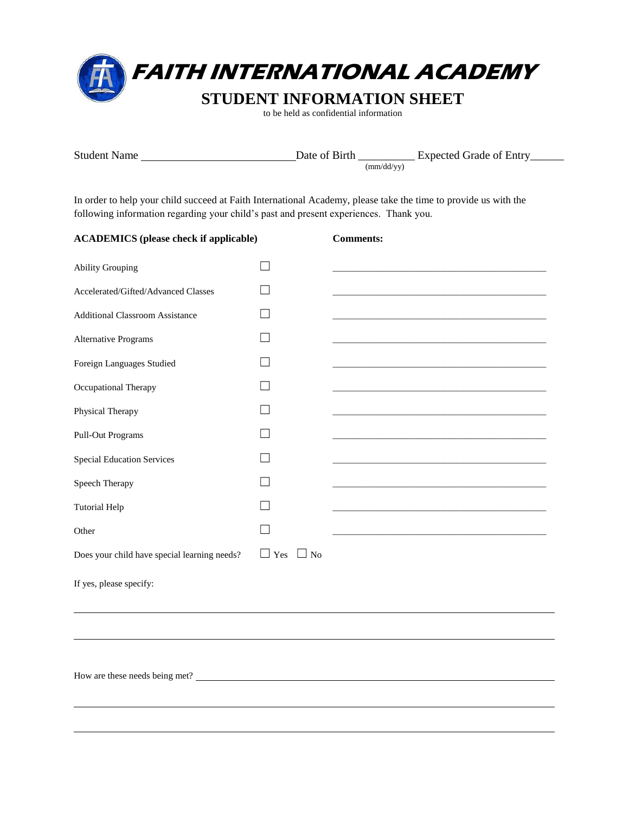|  | <b>FAITH INTERNATIONAL ACADEMY</b> |
|--|------------------------------------|
|  | <b>STUDENT INFORMATION SHEET</b>   |

to be held as confidential information

| Student Name                                                                                                                                                                                             |                                 |                  | Date of Birth Expected Grade of Entry |
|----------------------------------------------------------------------------------------------------------------------------------------------------------------------------------------------------------|---------------------------------|------------------|---------------------------------------|
|                                                                                                                                                                                                          | $\text{mm}/\text{dd}/\text{vv}$ |                  |                                       |
| In order to help your child succeed at Faith International Academy, please take the time to provide us with the<br>following information regarding your child's past and present experiences. Thank you. |                                 |                  |                                       |
| <b>ACADEMICS</b> (please check if applicable)                                                                                                                                                            |                                 | <b>Comments:</b> |                                       |
| <b>Ability Grouping</b>                                                                                                                                                                                  |                                 |                  |                                       |
| Accelerated/Gifted/Advanced Classes                                                                                                                                                                      |                                 |                  |                                       |
| <b>Additional Classroom Assistance</b>                                                                                                                                                                   |                                 |                  |                                       |

| <b>Additional Classroom Assistance</b>       |                                 |  |
|----------------------------------------------|---------------------------------|--|
| <b>Alternative Programs</b>                  |                                 |  |
| Foreign Languages Studied                    |                                 |  |
| Occupational Therapy                         |                                 |  |
|                                              |                                 |  |
| Physical Therapy                             |                                 |  |
| <b>Pull-Out Programs</b>                     |                                 |  |
| <b>Special Education Services</b>            |                                 |  |
| Speech Therapy                               |                                 |  |
| <b>Tutorial Help</b>                         |                                 |  |
| Other                                        |                                 |  |
| Does your child have special learning needs? | Yes<br>N <sub>o</sub><br>$\Box$ |  |

<u> 1989 - Johann Stoff, amerikansk politiker (d. 1989)</u>

If yes, please specify:

֦

How are these needs being met?